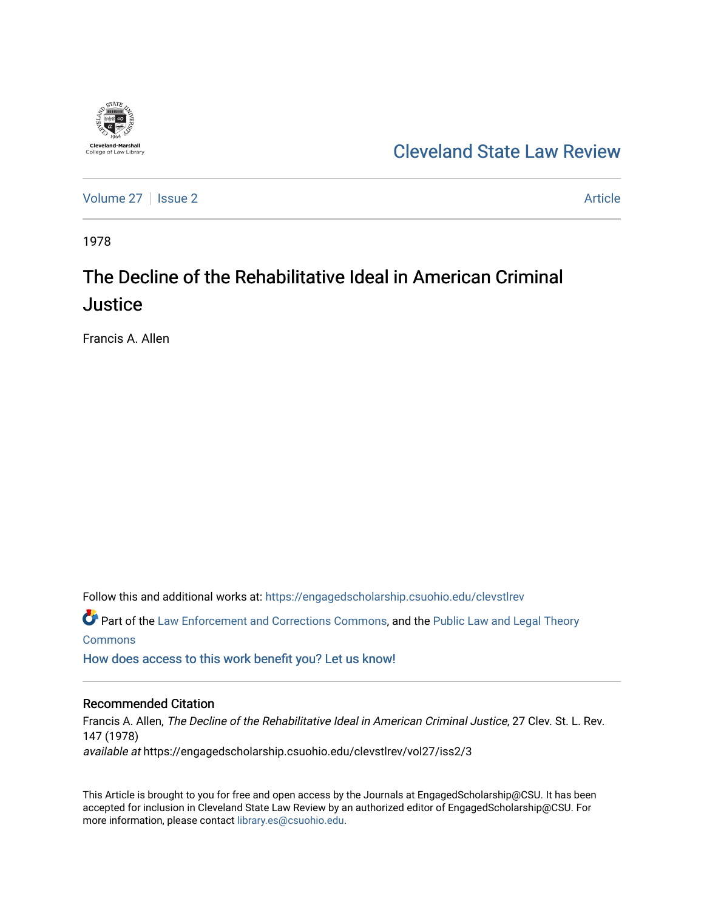

## [Cleveland State Law Review](https://engagedscholarship.csuohio.edu/clevstlrev)

[Volume 27](https://engagedscholarship.csuohio.edu/clevstlrev/vol27) | [Issue 2](https://engagedscholarship.csuohio.edu/clevstlrev/vol27/iss2) Article

1978

# The Decline of the Rehabilitative Ideal in American Criminal **Justice**

Francis A. Allen

Follow this and additional works at: [https://engagedscholarship.csuohio.edu/clevstlrev](https://engagedscholarship.csuohio.edu/clevstlrev?utm_source=engagedscholarship.csuohio.edu%2Fclevstlrev%2Fvol27%2Fiss2%2F3&utm_medium=PDF&utm_campaign=PDFCoverPages)

Part of the [Law Enforcement and Corrections Commons,](http://network.bepress.com/hgg/discipline/854?utm_source=engagedscholarship.csuohio.edu%2Fclevstlrev%2Fvol27%2Fiss2%2F3&utm_medium=PDF&utm_campaign=PDFCoverPages) and the [Public Law and Legal Theory](http://network.bepress.com/hgg/discipline/871?utm_source=engagedscholarship.csuohio.edu%2Fclevstlrev%2Fvol27%2Fiss2%2F3&utm_medium=PDF&utm_campaign=PDFCoverPages)  **[Commons](http://network.bepress.com/hgg/discipline/871?utm_source=engagedscholarship.csuohio.edu%2Fclevstlrev%2Fvol27%2Fiss2%2F3&utm_medium=PDF&utm_campaign=PDFCoverPages)** 

[How does access to this work benefit you? Let us know!](http://library.csuohio.edu/engaged/)

#### Recommended Citation

Francis A. Allen, The Decline of the Rehabilitative Ideal in American Criminal Justice, 27 Clev. St. L. Rev. 147 (1978) available at https://engagedscholarship.csuohio.edu/clevstlrev/vol27/iss2/3

This Article is brought to you for free and open access by the Journals at EngagedScholarship@CSU. It has been accepted for inclusion in Cleveland State Law Review by an authorized editor of EngagedScholarship@CSU. For more information, please contact [library.es@csuohio.edu](mailto:library.es@csuohio.edu).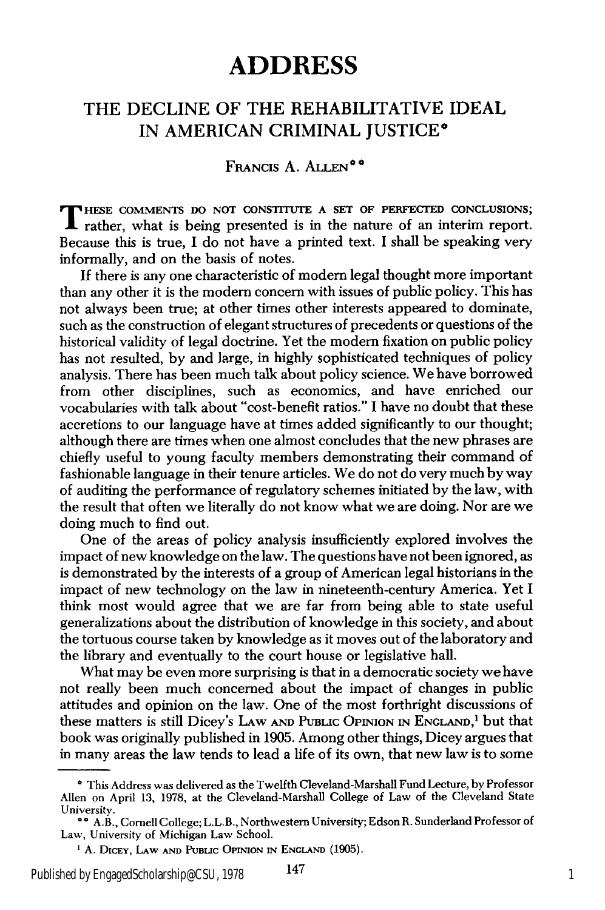## **ADDRESS**

### THE **DECLINE** OF THE REHABILITATIVE **IDEAL IN** AMERICAN CRIMINAL JUSTICE\*

FRANCIS A. ALLEN<sup>\*\*</sup>

**T HESE COMMENTS DO NOT CONSTITUTE A SET OF PERFECTED CONCLUSIONS;** rather, what is being presented is in the nature of an interim report. Because this is true, I do not have a printed text. I shall be speaking very informally, and on the basis of notes.

If there is any one characteristic of modem legal thought more important than any other it is the modem concern with issues of public policy. This has not always been true; at other times other interests appeared to dominate, such as the construction of elegant structures of precedents or questions of the historical validity of legal doctrine. Yet the modem fixation on public policy has not resulted, **by** and large, in highly sophisticated techniques of policy analysis. There has been much talk about policy science. We have borrowed from other disciplines, such as economics, and have enriched our vocabularies with talk about "cost-benefit ratios." I have no doubt that these accretions to our language have at times added significantly to our thought; although there are times when one almost concludes that the new phrases are chiefly useful to young faculty members demonstrating their command of fashionable language in their tenure articles. We do not do very much **by** way of auditing the performance of regulatory schemes initiated **by** the law, with the result that often we literally do not know what we are doing. Nor are we doing much to find out.

One of the areas of policy analysis insufficiently explored involves the impact of new knowledge on the law. The questions have not been ignored, as is demonstrated by the interests of a group of American legal historians in the impact of new technology on the law in nineteenth-century America. Yet I think most would agree that we are far from being able to state useful generalizations about the distribution of knowledge in this society, and about the tortuous course taken by knowledge as it moves out of the laboratory and the library and eventually to the court house or legislative hall.

What may be even more surprising is that in a democratic society we have not really been much concerned about the impact of changes in public attitudes and opinion on the law. One of the most forthright discussions **of** these matters is still Dicey's LAw **AND PUBLIC** OPINION **IN ENGLAND,'** but that book was originally published in 1905. Among other things, Dicey argues that in many areas the law tends to lead a life of its own, that new law is to some

**<sup>\*</sup>** This Address was delivered as the Twelfth Cleveland-Marshall Fund Lecture, by Professor Allen on April 13, 1978, at the Cleveland-Marshall College of Law of the Cleveland State University.

**<sup>-</sup>** A.B., Cornell College; L.L.B., Northwestern University; Edson R. Sunderland Professor of Law, University of Michigan Law School.

**A.** DicEy, **LAW AND PUBLIC OPINION IN ENGLAND** (1905).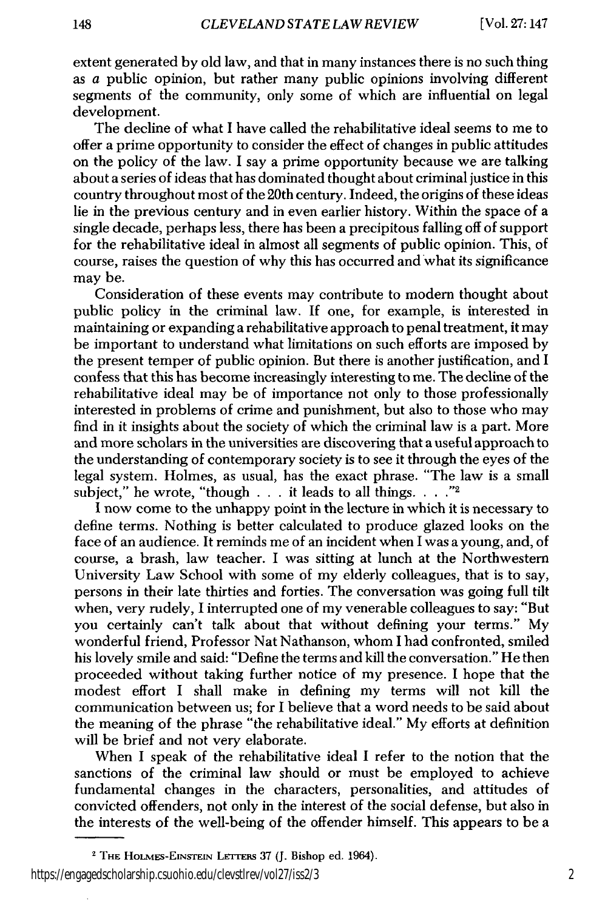extent generated by old law, and that in many instances there is no such thing as a public opinion, but rather many public opinions involving different segments of the community, only some of which are influential on legal development.

The decline of what I have called the rehabilitative ideal seems to me to offer a prime opportunity to consider the effect of changes in public attitudes on the policy of the law. I say a prime opportunity because we are talking about a series of ideas that has dominated thought about criminal justice in this country throughout most of the 20th century. Indeed, the origins of these ideas lie in the previous century and in even earlier history. Within the space of a single decade, perhaps less, there has been a precipitous falling off of support for the rehabilitative ideal in almost all segments of public opinion. This, of course, raises the question of why this has occurred and what its significance may be.

Consideration of these events may contribute to modem thought about public policy in the criminal law. If one, for example, is interested in maintaining or expanding a rehabilitative approach to penal treatment, it may be important to understand what limitations on such efforts are imposed by the present temper of public opinion. But there is another justification, and I confess that this has become increasingly interesting to me. The decline of the rehabilitative ideal may be of importance not only to those professionally interested in problems of crime and punishment, but also to those who may find in it insights about the society of which the criminal law is a part. More and more scholars in the universities are discovering that a useful approach to the understanding of contemporary society is to see it through the eyes of the legal system. Holmes, as usual, has the exact phrase. "The law is a small subject," he wrote, "though . . . it leads to all things **... "2**

I now come to the unhappy point in the lecture in which it is necessary to define terms. Nothing is better calculated to produce glazed looks on the face of an audience. It reminds me of an incident when I was a young, and, of course, a brash, law teacher. I was sitting at lunch at the Northwestern University Law School with some of my elderly colleagues, that is to say, persons in their late thirties and forties. The conversation was going full tilt when, very rudely, I interrupted one of my venerable colleagues to say: "But you certainly can't talk about that without defining your terms." My wonderful friend, Professor Nat Nathanson, whom I had confronted, smiled his lovely smile and said: "Define the terms and kill the conversation." He then proceeded without taking further notice of my presence. I hope that the modest effort I shall make in defining my terms will not kill the communication between us; for I believe that a word needs to be said about the meaning of the phrase "the rehabilitative ideal." My efforts at definition will be brief and not very elaborate.

When I speak of the rehabilitative ideal I refer to the notion that the sanctions of the criminal law should or must be employed to achieve fundamental changes in the characters, personalities, and attitudes of convicted offenders, not only in the interest of the social defense, but also in the interests of the well-being of the offender himself. This appears to be a

<sup>2</sup>THE **HOLMEs-EINSTEIN LmTES** 37 **(J.** Bishop ed. 1964). https://engagedscholarship.csuohio.edu/clevstlrev/vol27/iss2/3 2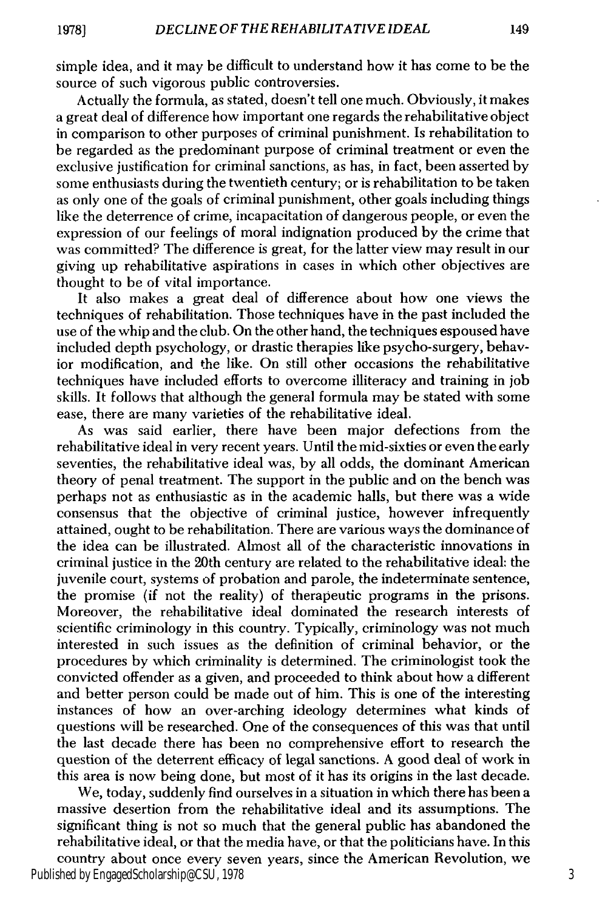simple idea, and it may be difficult to understand how it has come to be the source of such vigorous public controversies.

Actually the formula, as stated, doesn't tell one much. Obviously, it makes a great deal of difference how important one regards the rehabilitative object in comparison to other purposes of criminal punishment. Is rehabilitation to be regarded as the predominant purpose of criminal treatment or even the exclusive justification for criminal sanctions, as has, in fact, been asserted by some enthusiasts during the twentieth century; or is rehabilitation to be taken as only one of the goals of criminal punishment, other goals including things like the deterrence of crime, incapacitation of dangerous people, or even the expression of our feelings of moral indignation produced by the crime that was committed? The difference is great, for the latter view may result in our giving up rehabilitative aspirations in cases in which other objectives are thought to be of vital importance.

It also makes a great deal of difference about how one views the techniques of rehabilitation. Those techniques have in the past included the use of the whip and the club. On the other hand, the techniques espoused have included depth psychology, or drastic therapies like psycho-surgery, behavior modification, and the like. On still other occasions the rehabilitative techniques have included efforts to overcome illiteracy and training in job skills. It follows that although the general formula may be stated with some ease, there are many varieties of the rehabilitative ideal.

As was said earlier, there have been major defections from the rehabilitative ideal in very recent years. Until the mid-sixties or even the early seventies, the rehabilitative ideal was, by all odds, the dominant American theory of penal treatment. The support in the public and on the bench was perhaps not as enthusiastic as in the academic halls, but there was a wide consensus that the objective of criminal justice, however infrequently attained, ought to be rehabilitation. There are various ways the dominance of the idea can be illustrated. Almost all of the characteristic innovations in criminal justice in the 20th century are related to the rehabilitative ideal: the juvenile court, systems of probation and parole, the indeterminate sentence, the promise (if not the reality) of therapeutic programs in the prisons. Moreover, the rehabilitative ideal dominated the research interests of scientific criminology in this country. Typically, criminology was not much interested in such issues as the definition of criminal behavior, or the procedures by which criminality is determined. The criminologist took the convicted offender as a given, and proceeded to think about how a different and better person could be made out of him. This is one of the interesting instances of how an over-arching ideology determines what kinds of questions will be researched. One of the consequences of this was that until the last decade there has been no comprehensive effort to research the question of the deterrent efficacy of legal sanctions. A good deal of work in this area is now being done, but most of it has its origins in the last decade.

We, today, suddenly find ourselves in a situation in which there has been a massive desertion from the rehabilitative ideal and its assumptions. The significant thing is not so much that the general public has abandoned the rehabilitative ideal, or that the media have, or that the politicians have. In this country about once every seven years, since the American Revolution, we

Published by EngagedScholarship@CSU, 1978 3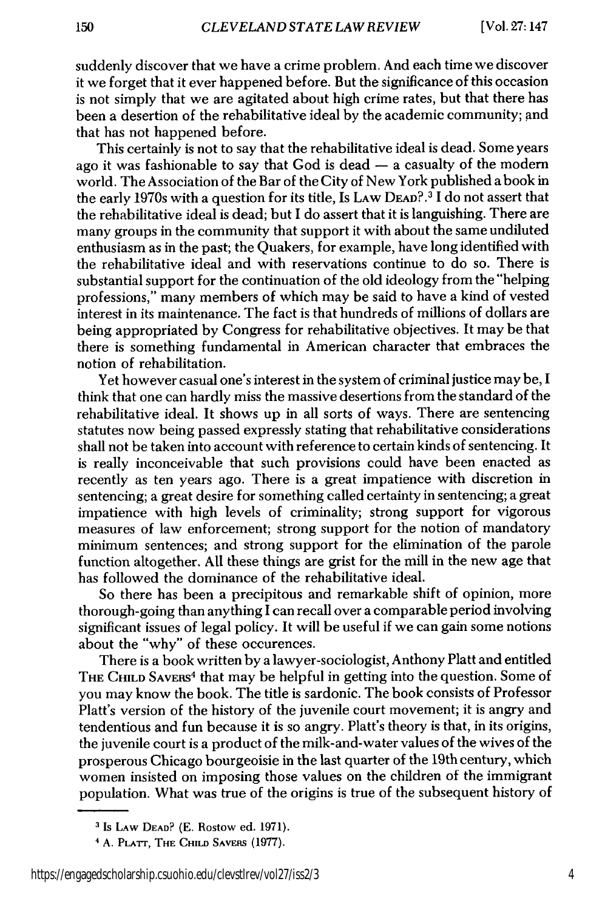150

suddenly discover that we have a crime problem. And each time we discover it we forget that it ever happened before. But the significance of this occasion is not simply that we are agitated about high crime rates, but that there has been a desertion of the rehabilitative ideal by the academic community; and that has not happened before.

This certainly is not to say that the rehabilitative ideal is dead. Some years ago it was fashionable to say that God is dead  $-$  a casualty of the modern world. The Association of the Bar of the City of New York published a book in the early 1970s with a question for its title, Is LAW DEAD?.<sup>3</sup> I do not assert that the rehabilitative ideal is dead; but I do assert that it is languishing. There are many groups in the community that support it with about the same undiluted enthusiasm as in the past; the Quakers, for example, have long identified with the rehabilitative ideal and with reservations continue to do so. There is substantial support for the continuation of the old ideology from the "helping professions," many members of which may be said to have a kind of vested interest in its maintenance. The fact is that hundreds of millions of dollars are being appropriated by Congress for rehabilitative objectives. It may be that there is something fundamental in American character that embraces the notion of rehabilitation.

Yet however casual one's interest in the system of criminal justice may be, I think that one can hardly miss the massive desertions from the standard of the rehabilitative ideal. It shows up in all sorts of ways. There are sentencing statutes now being passed expressly stating that rehabilitative considerations shall not be taken into account with reference to certain kinds of sentencing. It is really inconceivable that such provisions could have been enacted as recently as ten years ago. There is a great impatience with discretion in sentencing; a great desire for something called certainty in sentencing; a great impatience with high levels of criminality; strong support for vigorous measures of law enforcement; strong support for the notion of mandatory minimum sentences; and strong support for the elimination of the parole function altogether. All these things are grist for the mill in the new age that has followed the dominance of the rehabilitative ideal.

So there has been a precipitous and remarkable shift of opinion, more thorough-going than anything I can recall over a comparable period involving significant issues of legal policy. It will be useful if we can gain some notions about the "why" of these occurences.

There is a book written by a lawyer-sociologist, Anthony Platt and entitled THE CHILD SAVERS<sup>4</sup> that may be helpful in getting into the question. Some of you may know the book. The title is sardonic. The book consists of Professor Platt's version of the history of the juvenile court movement; it is angry and tendentious and fun because it is so angry. Platt's theory is that, in its origins, the juvenile court is a product of the milk-and-water values of the wives of the prosperous Chicago bourgeoisie in the last quarter of the 19th century, which women insisted on imposing those values on the children of the immigrant population. What was true of the origins is true of the subsequent history of

Is LAw **DEAD?** (E. Rostow ed. 1971).

<sup>&</sup>lt;sup>4</sup> A. PLATT, THE CHILD SAVERS (1977).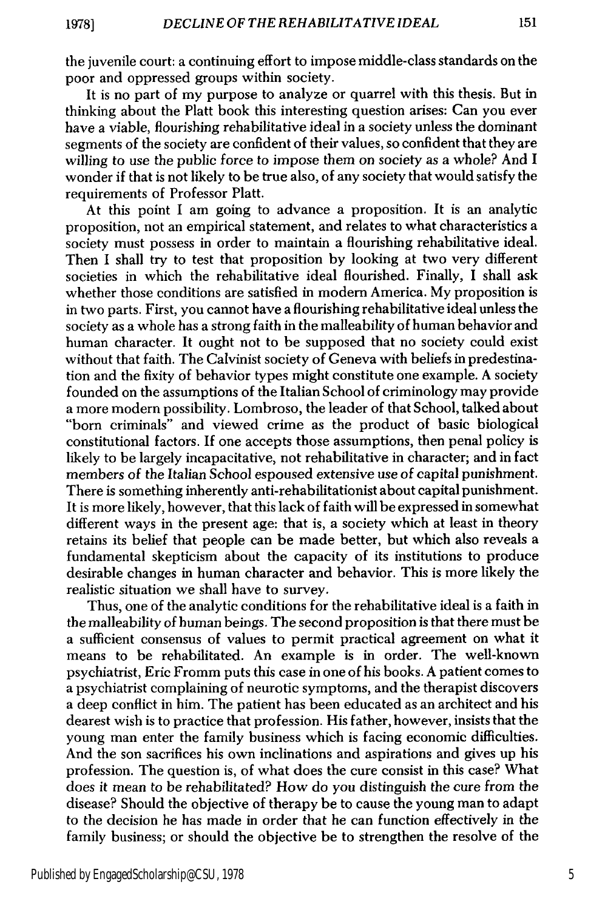the juvenile court: a continuing effort to impose middle-class standards on the poor and oppressed groups within society.

It is no part of my purpose to analyze or quarrel with this thesis. But in thinking about the Platt book this interesting question arises: Can you ever have a viable, flourishing rehabilitative ideal in a society unless the dominant segments of the society are confident of their values, so confident that they are willing to use the public force to impose them on society as a whole? And I wonder if that is not likely to be true also, of any society that would satisfy the requirements of Professor Platt.

At this point I am going to advance a proposition. It is an analytic proposition, not an empirical statement, and relates to what characteristics a society must possess in order to maintain a flourishing rehabilitative ideal. Then I shall try to test that proposition by looking at two very different societies in which the rehabilitative ideal flourished. Finally, I shall ask whether those conditions are satisfied in modem America. My proposition is in two parts. First, you cannot have a flourishing rehabilitative ideal unless the society as a whole has a strong faith in the malleability of human behavior and human character. It ought not to be supposed that no society could exist without that faith. The Calvinist society of Geneva with beliefs in predestination and the fixity of behavior types might constitute one example. A society founded on the assumptions of the Italian School of criminology may provide a more modern possibility. Lombroso, the leader of that School, talked about "born criminals" and viewed crime as the product of basic biological constitutional factors. If one accepts those assumptions, then penal policy is likely to be largely incapacitative, not rehabilitative in character; and in fact members of the Italian School espoused extensive use of capital punishment. There is something inherently anti-rehabilitationist about capital punishment. It is more likely, however, that this lack of faith will be expressed in somewhat different ways in the present age: that is, a society which at least in theory retains its belief that people can be made better, but which also reveals a fundamental skepticism about the capacity of its institutions to produce desirable changes in human character and behavior. This is more likely the realistic situation we shall have to survey.

Thus, one of the analytic conditions for the rehabilitative ideal is a faith in the malleability of human beings. The second proposition is that there must be a sufficient consensus of values to permit practical agreement on what it means to be rehabilitated. An example is in order. The well-known psychiatrist, Eric Fromm puts this case in one of his books. A patient comes to a psychiatrist complaining of neurotic symptoms, and the therapist discovers a deep conflict in him. The patient has been educated as an architect and his dearest wish is to practice that profession. His father, however, insists that the young man enter the family business which is facing economic difficulties. And the son sacrifices his own inclinations and aspirations and gives up his profession. The question is, of what does the cure consist in this case? What does it mean to be rehabilitated? How do you distinguish the cure from the disease? Should the objective of therapy be to cause the young man to adapt to the decision he has made in order that he can function effectively in the family business; or should the objective be to strengthen the resolve of the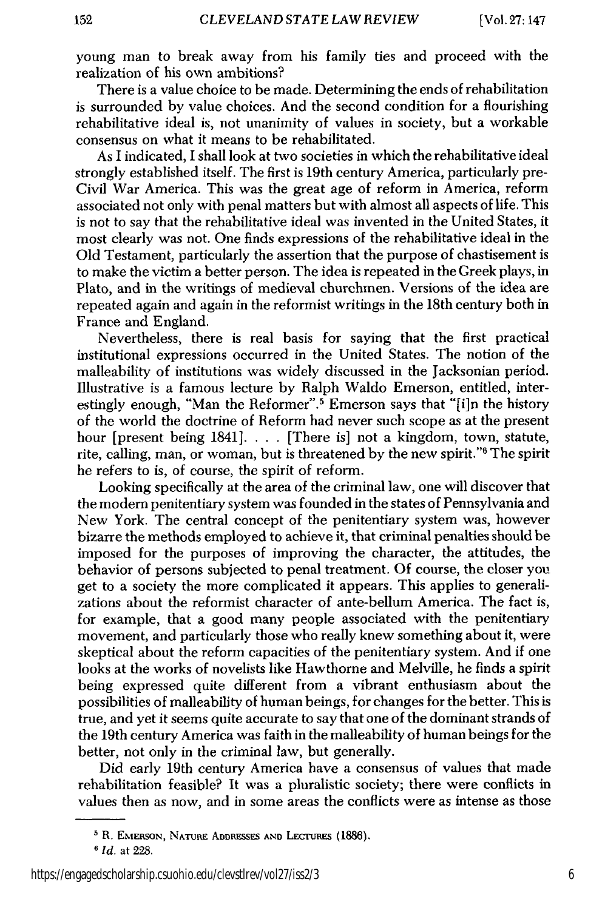young man to break away from his family ties and proceed with the realization of his own ambitions?

There is a value choice to be made. Determining the ends of rehabilitation is surrounded by value choices. And the second condition for a flourishing rehabilitative ideal is, not unanimity of values in society, but a workable consensus on what it means to be rehabilitated.

As I indicated, I shall look at two societies in which the rehabilitative ideal strongly established itself. The first is 19th century America, particularly pre-Civil War America. This was the great age of reform in America, reform associated not only with penal matters but with almost all aspects of life. This is not to say that the rehabilitative ideal was invented in the United States, it most clearly was not. One finds expressions of the rehabilitative ideal in the Old Testament, particularly the assertion that the purpose of chastisement is to make the victim a better person. The idea is repeated in the Greek plays, in Plato, and in the writings of medieval churchmen. Versions of the idea are repeated again and again in the reformist writings in the 18th century both in France and England.

Nevertheless, there is real basis for saying that the first practical institutional expressions occurred in the United States. The notion of the malleability of institutions was widely discussed in the Jacksonian period. Illustrative is a famous lecture by Ralph Waldo Emerson, entitled, interestingly enough, "Man the Reformer".<sup>5</sup> Emerson says that "[i]n the history of the world the doctrine of Reform had never such scope as at the present hour [present being 1841]. . . . [There is] not a kingdom, town, statute, rite, calling, man, or woman, but is threatened by the new spirit."6 The spirit he refers to is, of course, the spirit of reform.

Looking specifically at the area of the criminal law, one will discover that the modem penitentiary system was founded in the states of Pennsylvania and New York. The central concept of the penitentiary system was, however bizarre the methods employed to achieve it, that criminal penalties should be imposed for the purposes of improving the character, the attitudes, the behavior of persons subjected to penal treatment. Of course, the closer you get to a society the more complicated it appears. This applies to generalizations about the reformist character of ante-bellum America. The fact is, for example, that a good many people associated with the penitentiary movement, and particularly those who really knew something about it, were skeptical about the reform capacities of the penitentiary system. And if one looks at the works of novelists like Hawthorne and Melville, he finds a spirit being expressed quite different from a vibrant enthusiasm about the possibilities of malleability of human beings, **for** changes for the better. This is true, and yet it seems quite accurate to say that one of the dominant strands of the 19th century America was faith in the malleability of human beings for the better, not only in the criminal law, but generally.

Did early 19th century America have a consensus of values that made rehabilitation feasible? It was a pluralistic society; there were conflicts in values then as now, and in some areas the conflicts were as intense as those

152

**<sup>&#</sup>x27;** R. EMERSON, NATURE **ADDRESSES AND** LEcTURES (1886).

**<sup>6</sup>***Id.* at 228.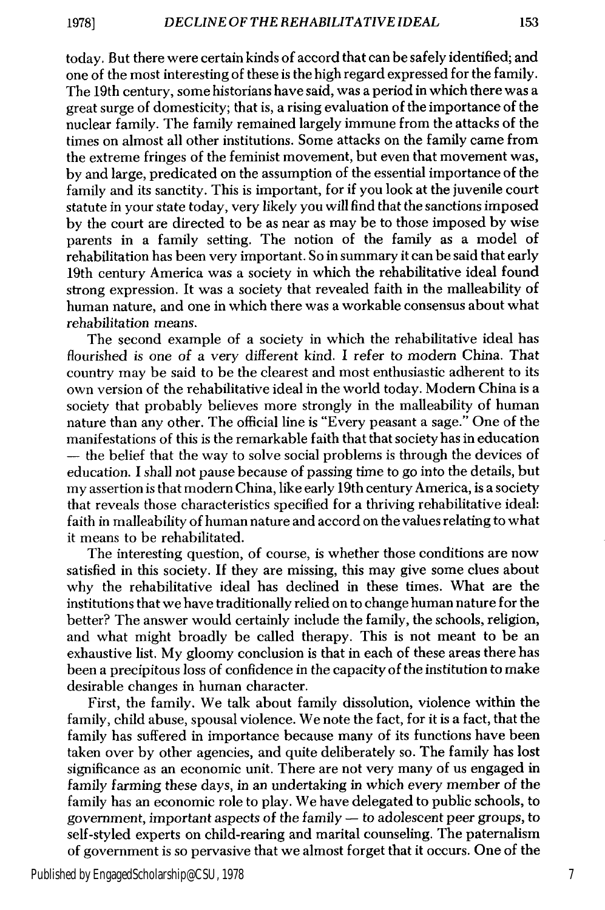today. But there were certain kinds of accord that can be safely identified; and one of the most interesting of these is the high regard expressed for the family. The 19th century, some historians have said, was a period in which there was a great surge of domesticity; that is, a rising evaluation of the importance of the nuclear family. The family remained largely immune from the attacks of the times on almost all other institutions. Some attacks on the family came from the extreme fringes of the feminist movement, but even that movement was, by and large, predicated on the assumption of the essential importance of the family and its sanctity. This is important, for if you look at the juvenile court statute in your state today, very likely you will find that the sanctions imposed by the court are directed to be as near as may be to those imposed by wise parents in a family setting. The notion of the family as a model of rehabilitation has been very important. So in summary it can be said that early 19th century America was a society in which the rehabilitative ideal found strong expression. It was a society that revealed faith in the malleability of human nature, and one in which there was a workable consensus about what rehabilitation means.

The second example of a society in which the rehabilitative ideal has flourished is one of a very different kind. I refer to modem China. That country may be said to be the clearest and most enthusiastic adherent to its own version of the rehabilitative ideal in the world today. Modern China is a society that probably believes more strongly in the malleability of human nature than any other. The official line is "Every peasant a sage." One of the manifestations of this is the remarkable faith that that society has in education - the belief that the way to solve social problems is through the devices of education. I shall not pause because of passing time to go into the details, but my assertion is that modern China, like early 19th century America, is a society that reveals those characteristics specified for a thriving rehabilitative ideal: faith in malleability of human nature and accord on the values relating to what it means to be rehabilitated.

The interesting question, of course, is whether those conditions are now satisfied in this society. If they are missing, this may give some clues about why the rehabilitative ideal has declined in these times. What are the institutions that we have traditionally relied on to change human nature for the better? The answer would certainly include the family, the schools, religion, and what might broadly be called therapy. This is not meant to be an exhaustive list. My gloomy conclusion is that in each of these areas there has been a precipitous loss of confidence in the capacity of the institution to make desirable changes in human character.

First, the family. We talk about family dissolution, violence within the family, child abuse, spousal violence. We note the fact, for it is a fact, that the family has suffered in importance because many of its functions have been taken over by other agencies, and quite deliberately so. The family has lost significance as an economic unit. There are not very many of us engaged in family farming these days, in an undertaking in which every member of the family has an economic role to play. We have delegated to public schools, to government, important aspects of the family  $-$  to adolescent peer groups, to self-styled experts on child-rearing and marital counseling. The paternalism of government is so pervasive that we almost forget that it occurs. One of the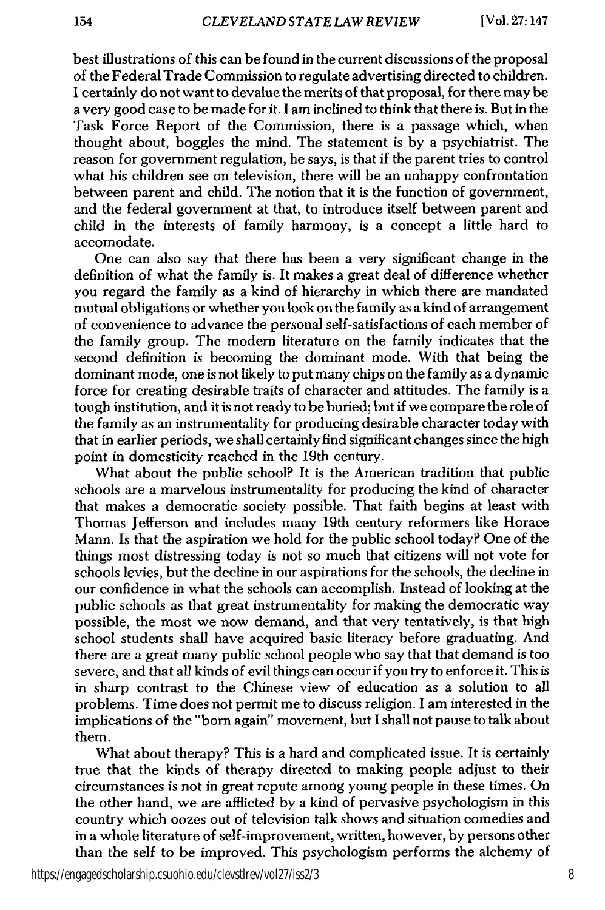154

best illustrations of this can be found in the current discussions of the proposal of the Federal Trade Commission to regulate advertising directed to children. I certainly do not want to devalue the merits of that proposal, for there may be a very good case to be made for it. **I** am inclined to think that there is. But in the Task Force Report of the Commission, there is a passage which, when thought about, boggles the mind. The statement is by a psychiatrist. The reason for government regulation, he says, is that if the parent tries to control what his children see on television, there will be an unhappy confrontation between parent and child. The notion that it is the function of government, and the federal government at that, to introduce itself between parent and child in the interests of family harmony, is a concept a little hard to accomodate.

One can also say that there has been a very significant change in the definition of what the family is. It makes a great deal of difference whether you regard the family as a kind of hierarchy in which there are mandated mutual obligations or whether you look on the family as a kind of arrangement of convenience to advance the personal self-satisfactions of each member of the family group. The modern literature on the family indicates that the second definition is becoming the dominant mode. With that being the dominant mode, one is not likely to put many chips on the family as a dynamic force for creating desirable traits of character and attitudes. The family is a tough institution, and it is not ready to be buried; but if we compare the role of the family as an instrumentality for producing desirable character today with that in earlier periods, we shall certainly find significant changes since the high point in domesticity reached in the 19th century.

What about the public school? It is the American tradition that public schools are a marvelous instrumentality for producing the kind of character that makes a democratic society possible. That faith begins at least with Thomas Jefferson and includes many 19th century reformers like Horace Mann. Is that the aspiration we hold for the public school today? One of the things most distressing today is not so much that citizens will not vote for schools levies, but the decline in our aspirations for the schools, the decline in our confidence in what the schools can accomplish. Instead of looking at the public schools as that great instrumentality for making the democratic way possible, the most we now demand, and that very tentatively, is that high school students shall have acquired basic literacy before graduating. And there are a great many public school people who say that that demand is too severe, and that all kinds of evil things can occur if you try to enforce it. This is in sharp contrast to the Chinese view of education as a solution to all problems. Time does not permit me to discuss religion. I am interested in the implications of the "born again" movement, but I shall not pause to talk about them.

What about therapy? This is a hard and complicated issue. It is certainly true that the kinds of therapy directed to making people adjust to their circumstances is not in great repute among young people in these times. On the other hand, we are afflicted by a kind of pervasive psychologism in this country which oozes out of television talk shows and situation comedies and in a whole literature of self-improvement, written, however, by persons other than the self to be improved. This psychologism performs the alchemy of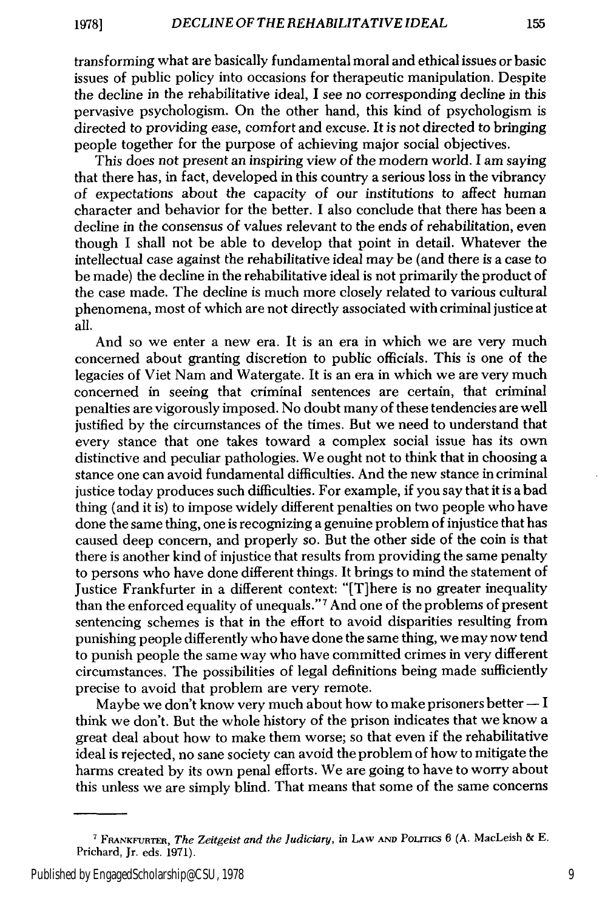transforming what are basically fundamental moral and ethical issues or basic issues of public policy into occasions for therapeutic manipulation. Despite the decline in the rehabilitative ideal, I see no corresponding decline in this pervasive psychologism. On the other hand, this kind of psychologism is directed to providing ease, comfort and excuse. It is not directed to bringing people together for the purpose of achieving major social objectives.

This does not present an inspiring view of the modem world. I am saying that there has, in fact, developed in this country a serious loss in the vibrancy of expectations about the capacity of our institutions to affect human character and behavior for the better. I also conclude that there has been a decline in the consensus of values relevant to the ends of rehabilitation, even though I shall not be able to develop that point in detail. Whatever the intellectual case against the rehabilitative ideal may be (and there is a case to be made) the decline in the rehabilitative ideal is not primarily the product of the case made. The decline is much more closely related to various cultural phenomena, most of which are not directly associated with criminal justice at all.

And so we enter a new era. It is an era in which we are very much concerned about granting discretion to public officials. This is one of the legacies of Viet Nam and Watergate. It is an era in which we are very much concerned in seeing that criminal sentences are certain, that criminal penalties are vigorously imposed. No doubt many of these tendencies are well justified by the circumstances of the times. But we need to understand that every stance that one takes toward a complex social issue has its own distinctive and peculiar pathologies. We ought not to think that in choosing a stance one can avoid fundamental difficulties. And the new stance in criminal justice today produces such difficulties. For example, if you say that it is a bad thing (and it is) to impose widely different penalties on two people who have done the same thing, one is recognizing a genuine problem of injustice that has caused deep concern, and properly so. But the other side of the coin is that there is another kind of injustice that results from providing the same penalty to persons who have done different things. It brings to mind the statement of Justice Frankfurter in a different context: "[T]here is no greater inequality than the enforced equality of unequals." 7 And one of the problems of present sentencing schemes is that in the effort to avoid disparities resulting from punishing people differently who have done the same thing, we may now tend to punish people the same way who have committed crimes in very different circumstances. The possibilities of legal definitions being made sufficiently precise to avoid that problem are very remote.

Maybe we don't know very much about how to make prisoners better  $-{\rm I}$ think we don't. But the whole history of the prison indicates that we know a great deal about how to make them worse; so that even if the rehabilitative ideal is rejected, no sane society can avoid the problem of how to mitigate the harms created by its own penal efforts. We are going to have to worry about this unless we are simply blind. That means that some of the same concerns

<sup>&</sup>lt;sup>7</sup> FRANKFURTER, *The Zeitgeist and the Judiciary*, in LAW AND POLITICS 6 (A. MacLeish & E. Prichard, Jr. eds. 1971).